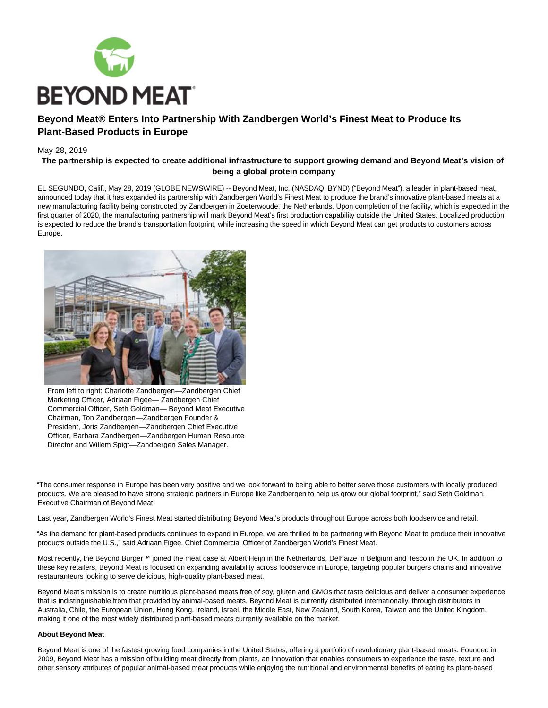

# **Beyond Meat® Enters Into Partnership With Zandbergen World's Finest Meat to Produce Its Plant-Based Products in Europe**

# May 28, 2019

# **The partnership is expected to create additional infrastructure to support growing demand and Beyond Meat's vision of being a global protein company**

EL SEGUNDO, Calif., May 28, 2019 (GLOBE NEWSWIRE) -- Beyond Meat, Inc. (NASDAQ: BYND) ("Beyond Meat"), a leader in plant-based meat, announced today that it has expanded its partnership with Zandbergen World's Finest Meat to produce the brand's innovative plant-based meats at a new manufacturing facility being constructed by Zandbergen in Zoeterwoude, the Netherlands. Upon completion of the facility, which is expected in the first quarter of 2020, the manufacturing partnership will mark Beyond Meat's first production capability outside the United States. Localized production is expected to reduce the brand's transportation footprint, while increasing the speed in which Beyond Meat can get products to customers across Europe.



From left to right: Charlotte Zandbergen—Zandbergen Chief Marketing Officer, Adriaan Figee— Zandbergen Chief Commercial Officer, Seth Goldman— Beyond Meat Executive Chairman, Ton Zandbergen—Zandbergen Founder & President, Joris Zandbergen—Zandbergen Chief Executive Officer, Barbara Zandbergen—Zandbergen Human Resource Director and Willem Spigt—Zandbergen Sales Manager.

"The consumer response in Europe has been very positive and we look forward to being able to better serve those customers with locally produced products. We are pleased to have strong strategic partners in Europe like Zandbergen to help us grow our global footprint," said Seth Goldman, Executive Chairman of Beyond Meat.

Last year, Zandbergen World's Finest Meat started distributing Beyond Meat's products throughout Europe across both foodservice and retail.

"As the demand for plant-based products continues to expand in Europe, we are thrilled to be partnering with Beyond Meat to produce their innovative products outside the U.S.," said Adriaan Figee, Chief Commercial Officer of Zandbergen World's Finest Meat.

Most recently, the Beyond Burger™ joined the meat case at Albert Heijn in the Netherlands, Delhaize in Belgium and Tesco in the UK. In addition to these key retailers, Beyond Meat is focused on expanding availability across foodservice in Europe, targeting popular burgers chains and innovative restauranteurs looking to serve delicious, high-quality plant-based meat.

Beyond Meat's mission is to create nutritious plant-based meats free of soy, gluten and GMOs that taste delicious and deliver a consumer experience that is indistinguishable from that provided by animal-based meats. Beyond Meat is currently distributed internationally, through distributors in Australia, Chile, the European Union, Hong Kong, Ireland, Israel, the Middle East, New Zealand, South Korea, Taiwan and the United Kingdom, making it one of the most widely distributed plant-based meats currently available on the market.

#### **About Beyond Meat**

Beyond Meat is one of the fastest growing food companies in the United States, offering a portfolio of revolutionary plant-based meats. Founded in 2009, Beyond Meat has a mission of building meat directly from plants, an innovation that enables consumers to experience the taste, texture and other sensory attributes of popular animal-based meat products while enjoying the nutritional and environmental benefits of eating its plant-based